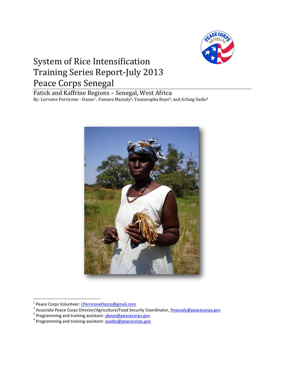

# System of Rice Intensification Training Series Report-July 2013 Peace Corps Senegal

Fatick and Kaffrine Regions – Senegal, West Africa By: Lorraine Perricone - Dazzo<sup>1</sup>, Famara Massaly<sup>2</sup>, Youssoupha Boye<sup>3</sup>, and Arfang Sadio<sup>4</sup>



<sup>&</sup>lt;u>.</u><br><sup>1</sup> Peace Corps Volunteer: <u>LPerriconeDazzo@gmail.com</u><br><sup>2</sup> Associate Peace Corps Director/Agriculture/Food Security Coordinator, <u>fmassaly@peacecorps.gov</u>

<sup>&</sup>lt;sup>3</sup> Programming and training assistant: **yboye@peacecorps.gov** 

<sup>&</sup>lt;sup>4</sup> Programming and training assistant: **[asadio@peacecorps.gov](mailto:asadio@peacecorps.gov)**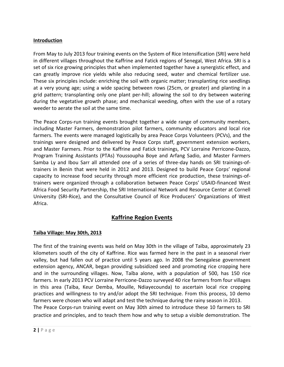### **Introduction**

From May to July 2013 four training events on the System of Rice Intensification (SRI) were held in different villages throughout the Kaffrine and Fatick regions of Senegal, West Africa. SRI is a set of six rice growing principles that when implemented together have a synergistic effect, and can greatly improve rice yields while also reducing seed, water and chemical fertilizer use. These six principles include: enriching the soil with organic matter; transplanting rice seedlings at a very young age; using a wide spacing between rows (25cm, or greater) and planting in a grid pattern; transplanting only one plant per-hill; allowing the soil to dry between watering during the vegetative growth phase; and mechanical weeding, often with the use of a rotary weeder to aerate the soil at the same time.

The Peace Corps-run training events brought together a wide range of community members, including Master Farmers, demonstration pilot farmers, community educators and local rice farmers. The events were managed logistically by area Peace Corps Volunteers (PCVs), and the trainings were designed and delivered by Peace Corps staff, government extension workers, and Master Farmers. Prior to the Kaffrine and Fatick trainings, PCV Lorraine Perricone-Dazzo, Program Training Assistants (PTAs) Youssoupha Boye and Arfang Sadio, and Master Farmers Samba Ly and Ibou Sarr all attended one of a series of three-day hands on SRI trainings-oftrainers in Benin that were held in 2012 and 2013. Designed to build Peace Corps' regional capacity to increase food security through more efficient rice production, these trainings-oftrainers were organized through a collaboration between Peace Corps' USAID-financed West Africa Food Security Partnership, the SRI International Network and Resource Center at Cornell University (SRI-Rice), and the Consultative Council of Rice Producers' Organizations of West Africa.

# **Kaffrine Region Events**

# **Taïba Village: May 30th, 2013**

The first of the training events was held on May 30th in the village of Taïba, approximately 23 kilometers south of the city of Kaffrine. Rice was farmed here in the past in a seasonal river valley, but had fallen out of practice until 5 years ago. In 2008 the Senegalese government extension agency, ANCAR, began providing subsidized seed and promoting rice cropping here and in the surrounding villages. Now, Taïba alone, with a population of 500, has 150 rice farmers. In early 2013 PCV Lorraine Perricone-Dazzo surveyed 40 rice farmers from four villages in this area (Taïba, Keur Demba, Mouille, Ndiayecounda) to ascertain local rice cropping practices and willingness to try and/or adopt the SRI technique. From this process, 10 demo farmers were chosen who will adapt and test the technique during the rainy season in 2013. The Peace Corps-run training event on May 30th aimed to introduce these 10 farmers to SRI

practice and principles, and to teach them how and why to setup a visible demonstration. The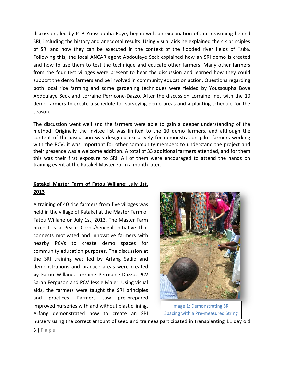discussion, led by PTA Youssoupha Boye, began with an explanation of and reasoning behind SRI, including the history and anecdotal results. Using visual aids he explained the six principles of SRI and how they can be executed in the context of the flooded river fields of Taïba. Following this, the local ANCAR agent Abdoulaye Seck explained how an SRI demo is created and how to use them to test the technique and educate other farmers. Many other farmers from the four test villages were present to hear the discussion and learned how they could support the demo farmers and be involved in community education action. Questions regarding both local rice farming and some gardening techniques were fielded by Youssoupha Boye Abdoulaye Seck and Lorraine Perricone-Dazzo. After the discussion Lorraine met with the 10 demo farmers to create a schedule for surveying demo areas and a planting schedule for the season.

The discussion went well and the farmers were able to gain a deeper understanding of the method. Originally the invitee list was limited to the 10 demo farmers, and although the content of the discussion was designed exclusively for demonstration pilot farmers working with the PCV, it was important for other community members to understand the project and their presence was a welcome addition. A total of 33 additional farmers attended, and for them this was their first exposure to SRI. All of them were encouraged to attend the hands on training event at the Katakel Master Farm a month later.

# **Katakel Master Farm of Fatou Willane: July 1st, 2013**

A training of 40 rice farmers from five villages was held in the village of Katakel at the Master Farm of Fatou Willane on July 1st, 2013. The Master Farm project is a Peace Corps/Senegal initiative that connects motivated and innovative farmers with nearby PCVs to create demo spaces for community education purposes. The discussion at the SRI training was led by Arfang Sadio and demonstrations and practice areas were created by Fatou Willane, Lorraine Perricone-Dazzo, PCV Sarah Ferguson and PCV Jessie Maier. Using visual aids, the farmers were taught the SRI principles and practices. Farmers saw pre-prepared improved nurseries with and without plastic lining. Arfang demonstrated how to create an SRI



Image 1: Demonstrating SRI Spacing with a Pre-measured String

nursery using the correct amount of seed and trainees participated in transplanting 11 day old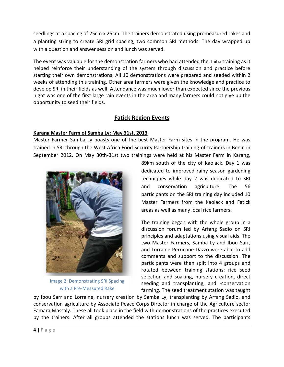seedlings at a spacing of 25cm x 25cm. The trainers demonstrated using premeasured rakes and a planting string to create SRI grid spacing, two common SRI methods. The day wrapped up with a question and answer session and lunch was served.

The event was valuable for the demonstration farmers who had attended the Taïba training as it helped reinforce their understanding of the system through discussion and practice before starting their own demonstrations. All 10 demonstrations were prepared and seeded within 2 weeks of attending this training. Other area farmers were given the knowledge and practice to develop SRI in their fields as well. Attendance was much lower than expected since the previous night was one of the first large rain events in the area and many farmers could not give up the opportunity to seed their fields.

# **Fatick Region Events**

# **Karang Master Farm of Samba Ly: May 31st, 2013**

Master Farmer Samba Ly boasts one of the best Master Farm sites in the program. He was trained in SRI through the West Africa Food Security Partnership training-of-trainers in Benin in September 2012. On May 30th-31st two trainings were held at his Master Farm in Karang,



Image 2: Demonstrating SRI Spacing with a Pre-Measured Rake

89km south of the city of Kaolack. Day 1 was dedicated to improved rainy season gardening techniques while day 2 was dedicated to SRI and conservation agriculture. The 56 participants on the SRI training day included 10 Master Farmers from the Kaolack and Fatick areas as well as many local rice farmers.

The training began with the whole group in a discussion forum led by Arfang Sadio on SRI principles and adaptations using visual aids. The two Master Farmers, Samba Ly and Ibou Sarr, and Lorraine Perricone-Dazzo were able to add comments and support to the discussion. The participants were then split into 4 groups and rotated between training stations: rice seed selection and soaking, nursery creation, direct seeding and transplanting, and -conservation farming. The seed treatment station was taught

by Ibou Sarr and Lorraine, nursery creation by Samba Ly, transplanting by Arfang Sadio, and conservation agriculture by Associate Peace Corps Director in charge of the Agriculture sector Famara Massaly. These all took place in the field with demonstrations of the practices executed by the trainers. After all groups attended the stations lunch was served. The participants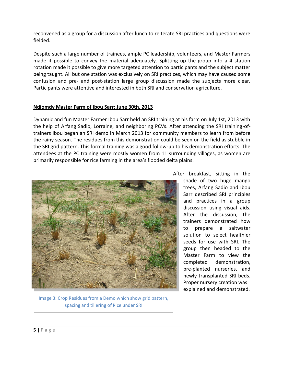reconvened as a group for a discussion after lunch to reiterate SRI practices and questions were fielded.

Despite such a large number of trainees, ample PC leadership, volunteers, and Master Farmers made it possible to convey the material adequately. Splitting up the group into a 4 station rotation made it possible to give more targeted attention to participants and the subject matter being taught. All but one station was exclusively on SRI practices, which may have caused some confusion and pre- and post-station large group discussion made the subjects more clear. Participants were attentive and interested in both SRI and conservation agriculture.

#### **Ndiomdy Master Farm of Ibou Sarr: June 30th, 2013**

Dynamic and fun Master Farmer Ibou Sarr held an SRI training at his farm on July 1st, 2013 with the help of Arfang Sadio, Lorraine, and neighboring PCVs. After attending the SRI training-oftrainers Ibou began an SRI demo in March 2013 for community members to learn from before the rainy season. The residues from this demonstration could be seen on the field as stubble in the SRI grid pattern. This formal training was a good follow-up to his demonstration efforts. The attendees at the PC training were mostly women from 11 surrounding villages, as women are primarily responsible for rice farming in the area's flooded delta plains.



Image 3: Crop Residues from a Demo which show grid pattern, spacing and tillering of Rice under SRI

After breakfast, sitting in the

shade of two huge mango trees, Arfang Sadio and Ibou Sarr described SRI principles and practices in a group discussion using visual aids. After the discussion, the trainers demonstrated how to prepare a saltwater solution to select healthier seeds for use with SRI. The group then headed to the Master Farm to view the completed demonstration, pre-planted nurseries, and newly transplanted SRI beds. Proper nursery creation was explained and demonstrated.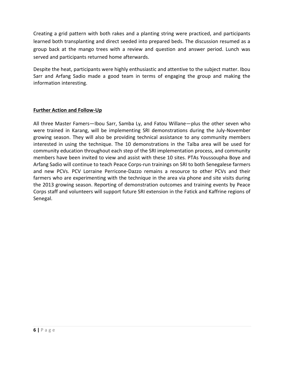Creating a grid pattern with both rakes and a planting string were practiced, and participants learned both transplanting and direct seeded into prepared beds. The discussion resumed as a group back at the mango trees with a review and question and answer period. Lunch was served and participants returned home afterwards.

Despite the heat, participants were highly enthusiastic and attentive to the subject matter. Ibou Sarr and Arfang Sadio made a good team in terms of engaging the group and making the information interesting.

# **Further Action and Follow-Up**

All three Master Famers—Ibou Sarr, Samba Ly, and Fatou Willane—plus the other seven who were trained in Karang, will be implementing SRI demonstrations during the July-November growing season. They will also be providing technical assistance to any community members interested in using the technique. The 10 demonstrations in the Taïba area will be used for community education throughout each step of the SRI implementation process, and community members have been invited to view and assist with these 10 sites. PTAs Youssoupha Boye and Arfang Sadio will continue to teach Peace Corps-run trainings on SRI to both Senegalese farmers and new PCVs. PCV Lorraine Perricone-Dazzo remains a resource to other PCVs and their farmers who are experimenting with the technique in the area via phone and site visits during the 2013 growing season. Reporting of demonstration outcomes and training events by Peace Corps staff and volunteers will support future SRI extension in the Fatick and Kaffrine regions of Senegal.